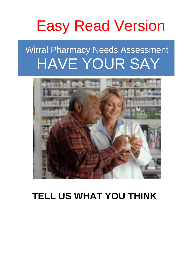# Easy Read Version

## Wirral Pharmacy Needs Assessment HAVE YOUR SAY



## **TELL US WHAT YOU THINK**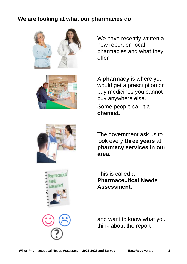## **We are looking at what our pharmacies do**



We have recently written a new report on local pharmacies and what they offer



A **pharmacy** is where you would get a prescription or buy medicines you cannot buy anywhere else.

Some people call it a **chemist**.



The government ask us to look every **three years** at **pharmacy services in our area.**



This is called a **Pharmaceutical Needs Assessment.**



and want to know what you think about the report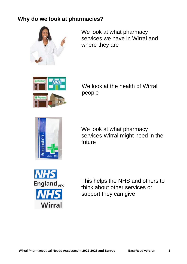## **Why do we look at pharmacies?**



We look at what pharmacy services we have in Wirral and where they are



We look at the health of Wirral people



We look at what pharmacy services Wirral might need in the future



This helps the NHS and others to think about other services or support they can give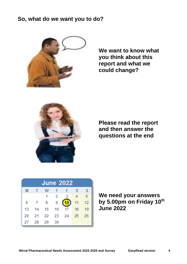### **So, what do we want you to do?**



**We want to know what you think about this report and what we could change?**



**Please read the report and then answer the questions at the end**

| <b>June 2022</b> |              |    |                |                |                 |     |
|------------------|--------------|----|----------------|----------------|-----------------|-----|
| м                | $\mathbf{T}$ | W  | $\mathbf{T}$   | $\blacksquare$ | $\mathcal{S}$   | S   |
|                  |              |    | $\overline{2}$ |                |                 | 5   |
| 6                |              | 8  | 9              |                | 11              | 12  |
| 13               | 14           | 15 | 16             | 17             | 18 <sup>°</sup> | 19  |
| 20               |              |    |                | 21  22  23  24 | 25              | -26 |
| 27               | 28           | 29 | 30             |                |                 |     |

**We need your answers by 5.00pm on Friday 10th June 2022**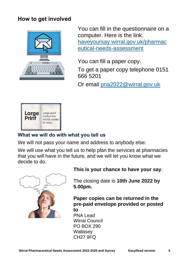## **How to get involved**



You can fill in the questionnaire on a computer. Here is the link. [haveyoursay.wirral.gov.uk/pharmac](file://///WIR0201CENTRAL4/PHDATA$/DATA/PH-All-folders/PH-Health%20&%20Wellbeing/PNA/2022%20to%202025/haveyoursay.wirral.gov.uk/pharmaceutical-needs-assessment) [eutical-needs-assessment](file://///WIR0201CENTRAL4/PHDATA$/DATA/PH-All-folders/PH-Health%20&%20Wellbeing/PNA/2022%20to%202025/haveyoursay.wirral.gov.uk/pharmaceutical-needs-assessment)

You can fill a paper copy.

To get a paper copy telephone 0151 666 5201

Or email [pna2022@wirral.gov.uk](mailto:pna2022@wirral.gov.uk)



### **What we will do with what you tell us**

We will not pass your name and address to anybody else.

We will use what you tell us to help plan the services at pharmacies that you will have in the future, and we will let you know what we decide to do.



#### **This is your chance to have your say**.

The closing date is **10th June 2022 by 5.00pm.**

**Paper copies can be returned in the pre-paid envelope provided or posted to**  PNA Lead

Wirral Council PO BOX 290 **Wallasev** CH27 9FQ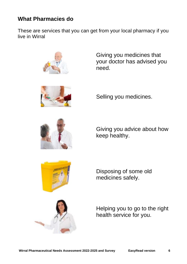## **What Pharmacies do**

These are services that you can get from your local pharmacy if you live in Wirral



Giving you medicines that your doctor has advised you need.



Selling you medicines.



Giving you advice about how keep healthy.



Disposing of some old medicines safely.



Helping you to go to the right health service for you.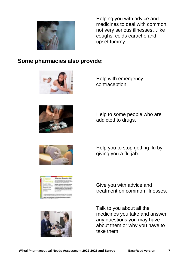

Helping you with advice and medicines to deal with common, not very serious illnesses…like coughs, colds earache and upset tummy.

## **Some pharmacies also provide:**





Help with emergency contraception.

Help to some people who are addicted to drugs.



Help you to stop getting flu by giving you a flu jab.



Give you with advice and treatment on common illnesses.



Talk to you about all the medicines you take and answer any questions you may have about them or why you have to take them.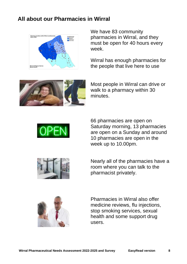## **All about our Pharmacies in Wirral**



We have 83 community pharmacies in Wirral, and they must be open for 40 hours every week.

Wirral has enough pharmacies for the people that live here to use



Most people in Wirral can drive or walk to a pharmacy within 30 minutes.



66 pharmacies are open on Saturday morning, 13 pharmacies are open on a Sunday and around 10 pharmacies are open in the week up to 10.00pm.



Nearly all of the pharmacies have a room where you can talk to the pharmacist privately.



Pharmacies in Wirral also offer medicine reviews, flu injections, stop smoking services, sexual health and some support drug users.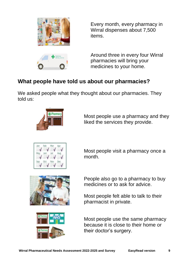

Every month, every pharmacy in Wirral dispenses about 7,500 items.

Around three in every four Wirral pharmacies will bring your medicines to your home.

## **What people have told us about our pharmacies?**

We asked people what they thought about our pharmacies. They told us:



Most people use a pharmacy and they liked the services they provide.



Most people visit a pharmacy once a month.





People also go to a pharmacy to buy medicines or to ask for advice.

Most people felt able to talk to their pharmacist in private.

Most people use the same pharmacy because it is close to their home or their doctor's surgery.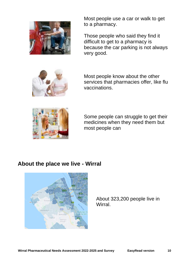

Most people use a car or walk to get to a pharmacy.

Those people who said they find it difficult to get to a pharmacy is because the car parking is not always very good.



Most people know about the other services that pharmacies offer, like flu vaccinations.



Some people can struggle to get their medicines when they need them but most people can

## **About the place we live - Wirral**



About 323,200 people live in Wirral.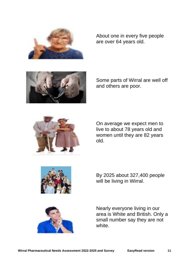

About one in every five people are over 64 years old.



Some parts of Wirral are well off and others are poor.



On average we expect men to live to about 78 years old and women until they are 82 years old.



By 2025 about 327,400 people will be living in Wirral.



Nearly everyone living in our area is White and British. Only a small number say they are not white.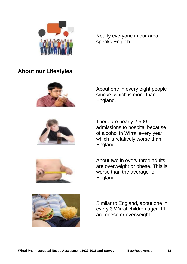

Nearly everyone in our area speaks English.

## **About our Lifestyles**



About one in every eight people smoke, which is more than England.



There are nearly 2,500 admissions to hospital because of alcohol in Wirral every year, which is relatively worse than England.



About two in every three adults are overweight or obese. This is worse than the average for England.



Similar to England, about one in every 3 Wirral children aged 11 are obese or overweight.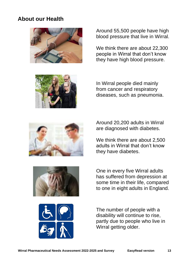## **About our Health**



Around 55,500 people have high blood pressure that live in Wirral.

We think there are about 22,300 people in Wirral that don't know they have high blood pressure.



In Wirral people died mainly from cancer and respiratory diseases, such as pneumonia.



Around 20,200 adults in Wirral are diagnosed with diabetes.

We think there are about 2,500 adults in Wirral that don't know they have diabetes.



One in every five Wirral adults has suffered from depression at some time in their life, compared to one in eight adults in England.



The number of people with a disability will continue to rise, partly due to people who live in Wirral getting older.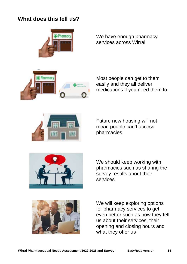## **What does this tell us?**



We have enough pharmacy services across Wirral



Most people can get to them easily and they all deliver medications if you need them to



Future new housing will not mean people can't access pharmacies



We should keep working with pharmacies such as sharing the survey results about their services



We will keep exploring options for pharmacy services to get even better such as how they tell us about their services, their opening and closing hours and what they offer us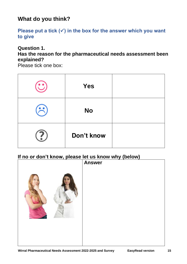## **What do you think?**

#### Please put a tick (✓) in the box for the answer which you want **to give**

#### **Question 1.**

#### **Has the reason for the pharmaceutical needs assessment been explained?**

Please tick one box:

| <b>Yes</b> |  |
|------------|--|
| <b>No</b>  |  |
| Don't know |  |

### **If no or don't know, please let us know why (below)**

| , | ◢<br><b>Answer</b> |
|---|--------------------|
|   |                    |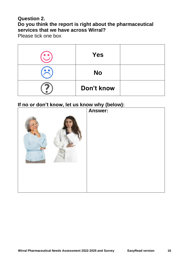#### **Question 2. Do you think the report is right about the pharmaceutical services that we have across Wirral?**

Please tick one box

| <b>Yes</b> |  |
|------------|--|
| <b>No</b>  |  |
| Don't know |  |

#### **If no or don't know, let us know why (below):**

| . <sub>7</sub> | Answer: |
|----------------|---------|
|                |         |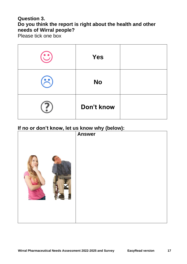#### **Question 3. Do you think the report is right about the health and other needs of Wirral people?**

Please tick one box

| <b>Yes</b> |  |
|------------|--|
| <b>No</b>  |  |
| Don't know |  |

#### **If no or don't know, let us know why (below):**

| , | <i>.</i> .<br><b>Answer</b> |
|---|-----------------------------|
|   |                             |
|   |                             |
|   |                             |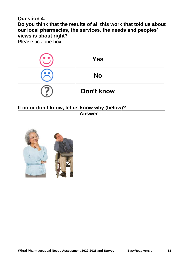#### **Question 4.**

**Do you think that the results of all this work that told us about our local pharmacies, the services, the needs and peoples' views is about right?**

Please tick one box

| <b>Yes</b> |  |
|------------|--|
| <b>No</b>  |  |
| Don't know |  |

#### **If no or don't know, let us know why (below)?**

| <u><b>If HO OF GOITT KITOW, IET US KITOW WITY (DEIOW):</b></u> | <b>Answer</b> |
|----------------------------------------------------------------|---------------|
|                                                                |               |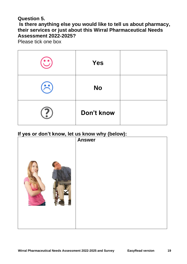#### **Question 5.**

**Is there anything else you would like to tell us about pharmacy, their services or just about this Wirral Pharmaceutical Needs Assessment 2022-2025?** 

Please tick one box

| <b>Yes</b> |  |
|------------|--|
| <b>No</b>  |  |
| Don't know |  |

#### **If yes or don't know, let us know why (below):**

| . .<br>, ,<br>. ,<br>- 3<br>- | <br>$\cdots$ , $\sim$ $\cdots$ , $\cdots$<br><b>Answer</b> |
|-------------------------------|------------------------------------------------------------|
|                               |                                                            |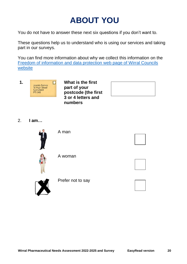## **ABOUT YOU**

You do not have to answer these next six questions if you don't want to.

These questions help us to understand who is using our services and taking part in our surveys.

You can find more information about why we collect this information on the [Freedom of information and data protection](https://www.wirral.gov.uk/about-council/freedom-information-and-data-protection) web page of Wirral Councils [website](https://www.wirral.gov.uk/about-council/freedom-information-and-data-protection)



**part of your postcode (the first 3 or 4 letters and numbers**

2. **I am…**



A man





A woman



Prefer not to say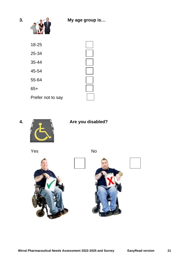

| $18 - 25$         |  |
|-------------------|--|
| 25-34             |  |
| 35-44             |  |
| 45-54             |  |
| 55-64             |  |
| $65+$             |  |
| Prefer not to say |  |





**4. Are you disabled?**

Yes No





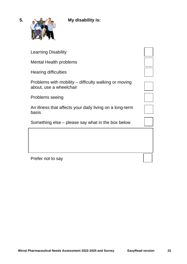

| <b>Learning Disability</b>                                                       |  |
|----------------------------------------------------------------------------------|--|
| Mental Health problems                                                           |  |
| Hearing difficulties                                                             |  |
| Problems with mobility – difficulty walking or moving<br>about, use a wheelchair |  |
| Problems seeing                                                                  |  |
| An illness that affects your daily living on a long-term<br>basis                |  |
| Something else – please say what in the box below                                |  |
|                                                                                  |  |
|                                                                                  |  |
| Prefer not to say                                                                |  |
|                                                                                  |  |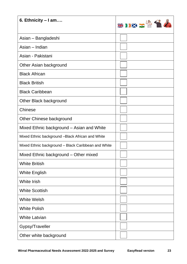| 6. Ethnicity - I am                                 | HIND AT |
|-----------------------------------------------------|---------|
| Asian - Bangladeshi                                 |         |
| Asian – Indian                                      |         |
| Asian - Pakistani                                   |         |
| Other Asian background                              |         |
| <b>Black African</b>                                |         |
| <b>Black British</b>                                |         |
| <b>Black Caribbean</b>                              |         |
| Other Black background                              |         |
| Chinese                                             |         |
| Other Chinese background                            |         |
| Mixed Ethnic background – Asian and White           |         |
| Mixed Ethnic background - Black African and White   |         |
| Mixed Ethnic background - Black Caribbean and White |         |
| Mixed Ethnic background - Other mixed               |         |
| <b>White British</b>                                |         |
| <b>White English</b>                                |         |
| <b>White Irish</b>                                  |         |
| <b>White Scottish</b>                               |         |
| <b>White Welsh</b>                                  |         |
| <b>White Polish</b>                                 |         |
| <b>White Latvian</b>                                |         |
| Gypsy/Traveller                                     |         |
| Other white background                              |         |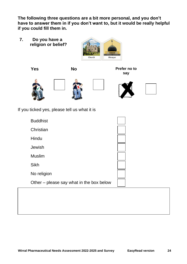**The following three questions are a bit more personal, and you don't have to answer them in if you don't want to, but it would be really helpful if you could fill them in.**

**7. Do you have a religion or belief?**



**Yes No Prefer no to say**











If you ticked yes, please tell us what it is

| <b>Buddhist</b>                          |  |
|------------------------------------------|--|
| Christian                                |  |
| Hindu                                    |  |
| Jewish                                   |  |
| <b>Muslim</b>                            |  |
| <b>Sikh</b>                              |  |
| No religion                              |  |
| Other – please say what in the box below |  |
|                                          |  |